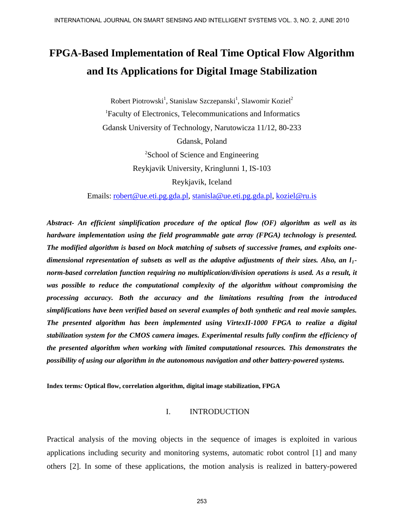# **FPGA-Based Implementation of Real Time Optical Flow Algorithm and Its Applications for Digital Image Stabilization**

Robert Piotrowski<sup>1</sup>, Stanislaw Szczepanski<sup>1</sup>, Slawomir Koziel<sup>2</sup> 1 Faculty of Electronics, Telecommunications and Informatics Gdansk University of Technology, Narutowicza 11/12, 80-233 Gdansk, Poland <sup>2</sup>School of Science and Engineering Reykjavik University, Kringlunni 1, IS-103 Reykjavik, Iceland

Emails: [robert@ue.eti.pg.gda.pl,](mailto:robert@ue.eti.pg.gda.pl) [stanisla@ue.eti.pg.gda.pl,](mailto:stanisla@ue.eti.pg.gda.pl) [koziel@ru.is](mailto:koziel@ru.is) 

*Abstract- An efficient simplification procedure of the optical flow (OF) algorithm as well as its hardware implementation using the field programmable gate array (FPGA) technology is presented. The modified algorithm is based on block matching of subsets of successive frames, and exploits onedimensional representation of subsets as well as the adaptive adjustments of their sizes. Also, an l1 norm-based correlation function requiring no multiplication/division operations is used. As a result, it was possible to reduce the computational complexity of the algorithm without compromising the processing accuracy. Both the accuracy and the limitations resulting from the introduced simplifications have been verified based on several examples of both synthetic and real movie samples. The presented algorithm has been implemented using VirtexII-1000 FPGA to realize a digital stabilization system for the CMOS camera images. Experimental results fully confirm the efficiency of the presented algorithm when working with limited computational resources. This demonstrates the possibility of using our algorithm in the autonomous navigation and other battery-powered systems.* 

**Index terms***:* **Optical flow, correlation algorithm, digital image stabilization, FPGA** 

#### I. INTRODUCTION

Practical analysis of the moving objects in the sequence of images is exploited in various applications including security and monitoring systems, automatic robot control [1] and many others [2]. In some of these applications, the motion analysis is realized in battery-powered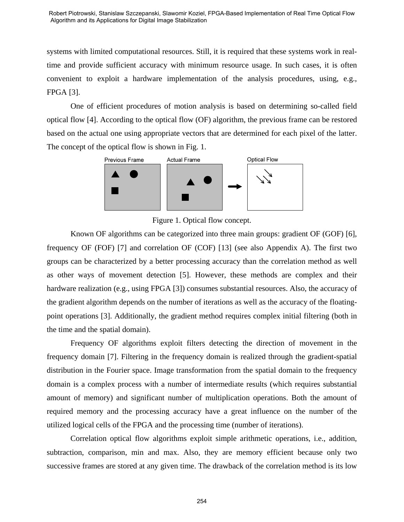systems with limited computational resources. Still, it is required that these systems work in realtime and provide sufficient accuracy with minimum resource usage. In such cases, it is often convenient to exploit a hardware implementation of the analysis procedures, using, e.g., FPGA [3].

 One of efficient procedures of motion analysis is based on determining so-called field optical flow [4]. According to the optical flow (OF) algorithm, the previous frame can be restored based on the actual one using appropriate vectors that are determined for each pixel of the latter. The concept of the optical flow is shown in Fig. 1.



Figure 1. Optical flow concept.

 Known OF algorithms can be categorized into three main groups: gradient OF (GOF) [6], frequency OF (FOF) [7] and correlation OF (COF) [13] (see also Appendix A). The first two groups can be characterized by a better processing accuracy than the correlation method as well as other ways of movement detection [5]. However, these methods are complex and their hardware realization (e.g., using FPGA [3]) consumes substantial resources. Also, the accuracy of the gradient algorithm depends on the number of iterations as well as the accuracy of the floatingpoint operations [3]. Additionally, the gradient method requires complex initial filtering (both in the time and the spatial domain). Examples the interior subsequent Sometic Consideration of Real Time Ostail Tom<br>Agromm and an Appearance interplating the monetations.<br>
Supermore and provide sufficient uccornery with minimum resource usage. In such cases,

 Frequency OF algorithms exploit filters detecting the direction of movement in the frequency domain [7]. Filtering in the frequency domain is realized through the gradient-spatial distribution in the Fourier space. Image transformation from the spatial domain to the frequency domain is a complex process with a number of intermediate results (which requires substantial amount of memory) and significant number of multiplication operations. Both the amount of required memory and the processing accuracy have a great influence on the number of the utilized logical cells of the FPGA and the processing time (number of iterations).

 Correlation optical flow algorithms exploit simple arithmetic operations, i.e., addition, subtraction, comparison, min and max. Also, they are memory efficient because only two successive frames are stored at any given time. The drawback of the correlation method is its low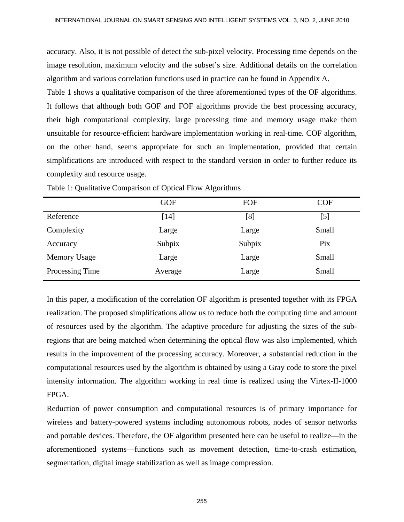accuracy. Also, it is not possible of detect the sub-pixel velocity. Processing time depends on the image resolution, maximum velocity and the subset's size. Additional details on the correlation algorithm and various correlation functions used in practice can be found in Appendix A.

Table 1 shows a qualitative comparison of the three aforementioned types of the OF algorithms. It follows that although both GOF and FOF algorithms provide the best processing accuracy, their high computational complexity, large processing time and memory usage make them unsuitable for resource-efficient hardware implementation working in real-time. COF algorithm, on the other hand, seems appropriate for such an implementation, provided that certain simplifications are introduced with respect to the standard version in order to further reduce its complexity and resource usage.

|                     | <b>GOF</b> | FOF    | <b>COF</b> |
|---------------------|------------|--------|------------|
| Reference           | [14]       | [8]    | $[5]$      |
| Complexity          | Large      | Large  | Small      |
| Accuracy            | Subpix     | Subpix | Pix        |
| <b>Memory Usage</b> | Large      | Large  | Small      |
| Processing Time     | Average    | Large  | Small      |

Table 1: Qualitative Comparison of Optical Flow Algorithms

In this paper, a modification of the correlation OF algorithm is presented together with its FPGA realization. The proposed simplifications allow us to reduce both the computing time and amount of resources used by the algorithm. The adaptive procedure for adjusting the sizes of the subregions that are being matched when determining the optical flow was also implemented, which results in the improvement of the processing accuracy. Moreover, a substantial reduction in the computational resources used by the algorithm is obtained by using a Gray code to store the pixel intensity information. The algorithm working in real time is realized using the Virtex-II-1000 FPGA.

Reduction of power consumption and computational resources is of primary importance for wireless and battery-powered systems including autonomous robots, nodes of sensor networks and portable devices. Therefore, the OF algorithm presented here can be useful to realize—in the aforementioned systems—functions such as movement detection, time-to-crash estimation, segmentation, digital image stabilization as well as image compression.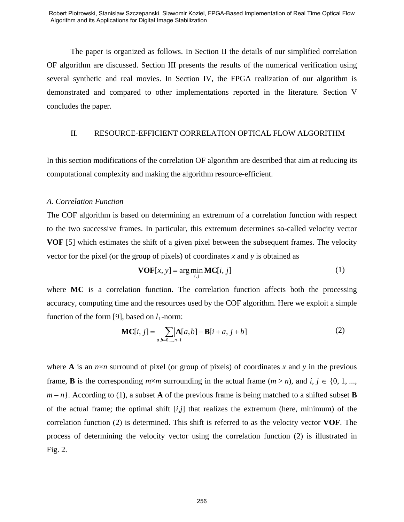The paper is organized as follows. In Section II the details of our simplified correlation OF algorithm are discussed. Section III presents the results of the numerical verification using several synthetic and real movies. In Section IV, the FPGA realization of our algorithm is demonstrated and compared to other implementations reported in the literature. Section V concludes the paper.

#### II. RESOURCE-EFFICIENT CORRELATION OPTICAL FLOW ALGORITHM

In this section modifications of the correlation OF algorithm are described that aim at reducing its computational complexity and making the algorithm resource-efficient.

#### *A. Correlation Function*

The COF algorithm is based on determining an extremum of a correlation function with respect to the two successive frames. In particular, this extremum determines so-called velocity vector **VOF** [5] which estimates the shift of a given pixel between the subsequent frames. The velocity vector for the pixel (or the group of pixels) of coordinates *x* and *y* is obtained as

$$
\mathbf{VOF}[x, y] = \arg\min_{i,j} \mathbf{MC}[i, j] \tag{1}
$$

where **MC** is a correlation function. The correlation function affects both the processing accuracy, computing time and the resources used by the COF algorithm. Here we exploit a simple function of the form [9], based on  $l_1$ -norm:

$$
MC[i, j] = \sum_{a,b=0,\dots,n-1} [A[a,b] - B[i+a, j+b]]
$$
 (2)

where **A** is an  $n \times n$  surround of pixel (or group of pixels) of coordinates x and y in the previous frame, **B** is the corresponding  $m \times m$  surrounding in the actual frame  $(m > n)$ , and *i*,  $j \in \{0, 1, ...,$  $m - n$ . According to (1), a subset **A** of the previous frame is being matched to a shifted subset **B** of the actual frame; the optimal shift [*i*,*j*] that realizes the extremum (here, minimum) of the correlation function (2) is determined. This shift is referred to as the velocity vector **VOF**. The process of determining the velocity vector using the correlation function (2) is illustrated in Fig. 2. ENDERTONIAL Subsects Controlls, Subsects (Exclusive Real Internation of Real Time Ostail Flow<br>Anyome and as Appearson at Fugation spaces Scation 11 the details of our simplified correlation<br>The puper is organized as follo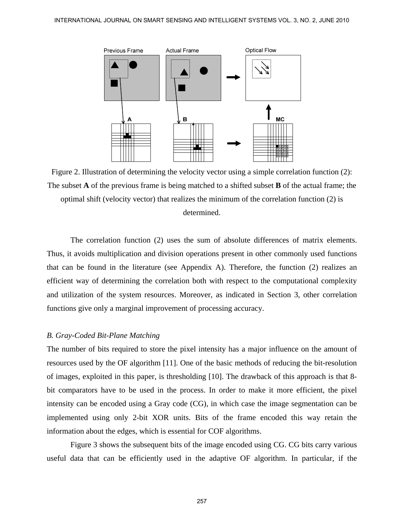

Figure 2. Illustration of determining the velocity vector using a simple correlation function (2): The subset **A** of the previous frame is being matched to a shifted subset **B** of the actual frame; the optimal shift (velocity vector) that realizes the minimum of the correlation function (2) is determined.

 The correlation function (2) uses the sum of absolute differences of matrix elements. Thus, it avoids multiplication and division operations present in other commonly used functions that can be found in the literature (see Appendix A). Therefore, the function (2) realizes an efficient way of determining the correlation both with respect to the computational complexity and utilization of the system resources. Moreover, as indicated in Section 3, other correlation functions give only a marginal improvement of processing accuracy.

## *B. Gray-Coded Bit-Plane Matching*

The number of bits required to store the pixel intensity has a major influence on the amount of resources used by the OF algorithm [11]. One of the basic methods of reducing the bit-resolution of images, exploited in this paper, is thresholding [10]. The drawback of this approach is that 8 bit comparators have to be used in the process. In order to make it more efficient, the pixel intensity can be encoded using a Gray code (CG), in which case the image segmentation can be implemented using only 2-bit XOR units. Bits of the frame encoded this way retain the information about the edges, which is essential for COF algorithms.

 Figure 3 shows the subsequent bits of the image encoded using CG. CG bits carry various useful data that can be efficiently used in the adaptive OF algorithm. In particular, if the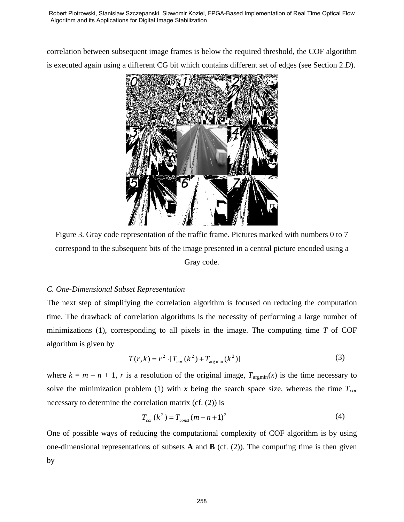correlation between subsequent image frames is below the required threshold, the COF algorithm is executed again using a different CG bit which contains different set of edges (see Section 2.*D*).



Figure 3. Gray code representation of the traffic frame. Pictures marked with numbers 0 to 7 correspond to the subsequent bits of the image presented in a central picture encoded using a Gray code.

## *C. One-Dimensional Subset Representation*

The next step of simplifying the correlation algorithm is focused on reducing the computation time. The drawback of correlation algorithms is the necessity of performing a large number of minimizations (1), corresponding to all pixels in the image. The computing time *T* of COF algorithm is given by

$$
T(r,k) = r^2 \cdot [T_{cor}(k^2) + T_{\text{arg min}}(k^2)]
$$
\n(3)

where  $k = m - n + 1$ , *r* is a resolution of the original image,  $T_{\text{argmin}}(x)$  is the time necessary to solve the minimization problem (1) with  $x$  being the search space size, whereas the time  $T_{cor}$ necessary to determine the correlation matrix (cf. (2)) is

$$
T_{cor}(k^2) = T_{const}(m - n + 1)^2
$$
 (4)

One of possible ways of reducing the computational complexity of COF algorithm is by using one-dimensional representations of subsets  $\bf{A}$  and  $\bf{B}$  (cf. (2)). The computing time is then given by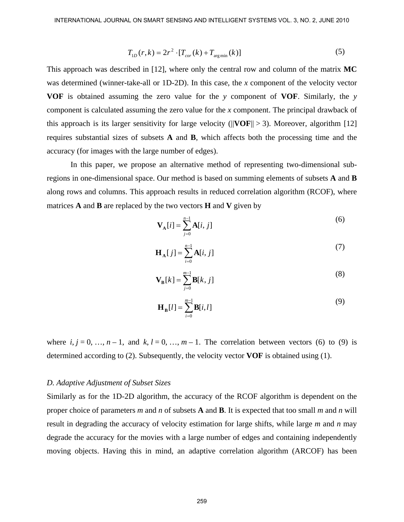$$
T_{1D}(r,k) = 2r^2 \cdot [T_{cor}(k) + T_{\text{arg min}}(k)]
$$
\n(5)

This approach was described in [12], where only the central row and column of the matrix **MC** was determined (winner-take-all or 1D-2D). In this case, the *x* component of the velocity vector **VOF** is obtained assuming the zero value for the *y* component of **VOF**. Similarly, the *y* component is calculated assuming the zero value for the *x* component. The principal drawback of this approach is its larger sensitivity for large velocity ( $||\mathbf{VOF}|| > 3$ ). Moreover, algorithm [12] requires substantial sizes of subsets **A** and **B**, which affects both the processing time and the accuracy (for images with the large number of edges).

 In this paper, we propose an alternative method of representing two-dimensional subregions in one-dimensional space. Our method is based on summing elements of subsets **A** and **B**  along rows and columns. This approach results in reduced correlation algorithm (RCOF), where matrices **A** and **B** are replaced by the two vectors **H** and **V** given by

$$
\mathbf{V}_{\mathbf{A}}[i] = \sum_{j=0}^{n-1} \mathbf{A}[i, j] \tag{6}
$$

$$
\mathbf{H}_{\mathbf{A}}[j] = \sum_{i=0}^{n-1} \mathbf{A}[i, j] \tag{7}
$$

$$
\mathbf{V}_{\mathbf{B}}[k] = \sum_{j=0}^{m-1} \mathbf{B}[k, j] \tag{8}
$$

$$
\mathbf{H}_{\mathbf{B}}[l] = \sum_{i=0}^{m-1} \mathbf{B}[i, l] \tag{9}
$$

where  $i, j = 0, ..., n-1$ , and  $k, l = 0, ..., m-1$ . The correlation between vectors (6) to (9) is determined according to (2). Subsequently, the velocity vector **VOF** is obtained using (1).

#### *D. Adaptive Adjustment of Subset Sizes*

Similarly as for the 1D-2D algorithm, the accuracy of the RCOF algorithm is dependent on the proper choice of parameters *m* and *n* of subsets **A** and **B**. It is expected that too small *m* and *n* will result in degrading the accuracy of velocity estimation for large shifts, while large *m* and *n* may degrade the accuracy for the movies with a large number of edges and containing independently moving objects. Having this in mind, an adaptive correlation algorithm (ARCOF) has been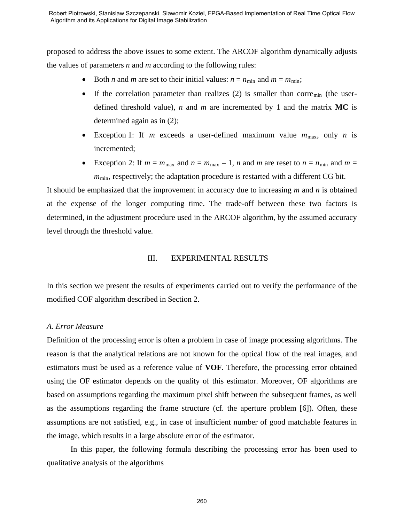proposed to address the above issues to some extent. The ARCOF algorithm dynamically adjusts the values of parameters *n* and *m* according to the following rules:

- Both *n* and *m* are set to their initial values:  $n = n_{\min}$  and  $m = m_{\min}$ ;
- If the correlation parameter than realizes (2) is smaller than corre<sub>min</sub> (the userdefined threshold value), *n* and *m* are incremented by 1 and the matrix **MC** is determined again as in (2);
- Exception 1: If *m* exceeds a user-defined maximum value  $m_{\text{max}}$ , only *n* is incremented;
- Exception 2: If  $m = m_{\text{max}}$  and  $n = m_{\text{max}} 1$ , *n* and *m* are reset to  $n = n_{\text{min}}$  and  $m =$  $m_{\text{min}}$ , respectively; the adaptation procedure is restarted with a different CG bit.

It should be emphasized that the improvement in accuracy due to increasing *m* and *n* is obtained at the expense of the longer computing time. The trade-off between these two factors is determined, in the adjustment procedure used in the ARCOF algorithm, by the assumed accuracy level through the threshold value.

#### III. EXPERIMENTAL RESULTS

In this section we present the results of experiments carried out to verify the performance of the modified COF algorithm described in Section 2.

#### *A. Error Measure*

Definition of the processing error is often a problem in case of image processing algorithms. The reason is that the analytical relations are not known for the optical flow of the real images, and estimators must be used as a reference value of **VOF**. Therefore, the processing error obtained using the OF estimator depends on the quality of this estimator. Moreover, OF algorithms are based on assumptions regarding the maximum pixel shift between the subsequent frames, as well as the assumptions regarding the frame structure (cf. the aperture problem [6]). Often, these assumptions are not satisfied, e.g., in case of insufficient number of good matchable features in the image, which results in a large absolute error of the estimator. Even the contents absent to the content of Cole Flow Based Implementation of Real Time Ostail Flow<br>Anyome and as Appearson at Fughti magne Shanimator. The ARCOF algorithm dynamically adjusts<br>be videos of parameters *r* an

 In this paper, the following formula describing the processing error has been used to qualitative analysis of the algorithms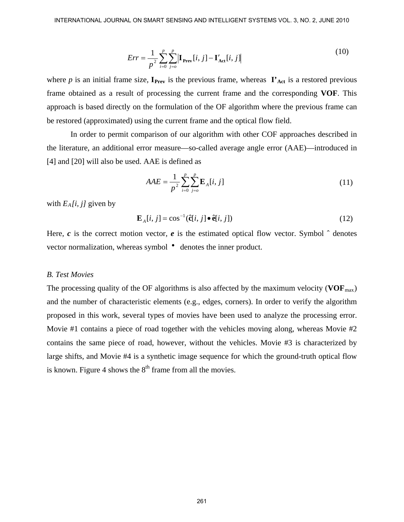$$
Err = \frac{1}{p^2} \sum_{i=0}^{p} \sum_{j=0}^{p} \left| \mathbf{I}_{\text{prev}}[i, j] - \mathbf{I}_{\text{Act}}'[i, j] \right| \tag{10}
$$

where *p* is an initial frame size,  $I_{\text{Prev}}$  is the previous frame, whereas  $I'_{\text{Act}}$  is a restored previous frame obtained as a result of processing the current frame and the corresponding **VOF**. This approach is based directly on the formulation of the OF algorithm where the previous frame can be restored (approximated) using the current frame and the optical flow field.

 In order to permit comparison of our algorithm with other COF approaches described in the literature, an additional error measure—so-called average angle error (AAE)—introduced in [4] and [20] will also be used. AAE is defined as

$$
AAE = \frac{1}{p^2} \sum_{i=0}^{p} \sum_{j=0}^{p} \mathbf{E}_A[i, j] \tag{11}
$$

with  $E_A[i, j]$  given by

$$
\mathbf{E}_{A}[i, j] = \cos^{-1}(\hat{\mathbf{c}}[i, j] \bullet \hat{\mathbf{e}}[i, j])
$$
 (12)

Here,  $c$  is the correct motion vector,  $e$  is the estimated optical flow vector. Symbol  $\hat{ }$  denotes vector normalization, whereas symbol • denotes the inner product.

#### *B. Test Movies*

The processing quality of the OF algorithms is also affected by the maximum velocity ( $VOF<sub>max</sub>$ ) and the number of characteristic elements (e.g., edges, corners). In order to verify the algorithm proposed in this work, several types of movies have been used to analyze the processing error. Movie #1 contains a piece of road together with the vehicles moving along, whereas Movie #2 contains the same piece of road, however, without the vehicles. Movie #3 is characterized by large shifts, and Movie #4 is a synthetic image sequence for which the ground-truth optical flow is known. Figure 4 shows the  $8<sup>th</sup>$  frame from all the movies.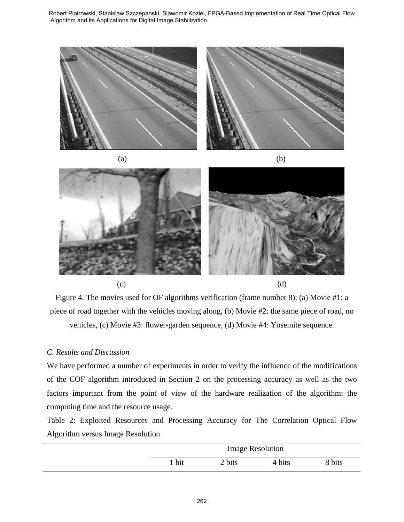Algorithm and its Applications for Digital Image Stabilization





 $(c)$  (d)

Figure 4. The movies used for OF algorithms verification (frame number 8): (a) Movie #1: a piece of road together with the vehicles moving along, (b) Movie #2: the same piece of road, no vehicles, (c) Movie #3: flower-garden sequence, (d) Movie #4: Yosemite sequence.

## *C. Results and Discussion*

We have performed a number of experiments in order to verify the influence of the modifications of the COF algorithm introduced in Section 2 on the processing accuracy as well as the two factors important from the point of view of the hardware realization of the algorithm: the computing time and the resource usage.

Table 2: Exploited Resources and Processing Accuracy for The Correlation Optical Flow Algorithm versus Image Resolution

| <b>Image Resolution</b> |        |        |        |  |
|-------------------------|--------|--------|--------|--|
| 1 bit                   | 2 bits | 4 bits | 8 bits |  |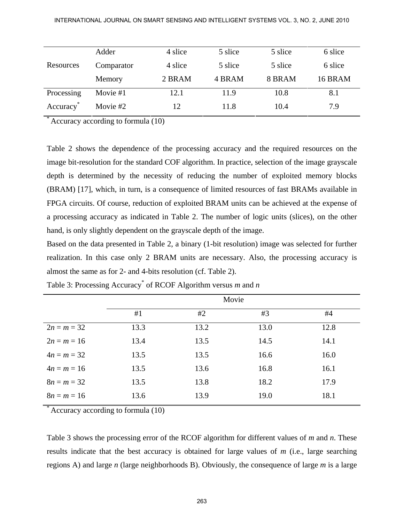|            | Adder      | 4 slice | 5 slice | 5 slice | 6 slice |
|------------|------------|---------|---------|---------|---------|
| Resources  | Comparator | 4 slice | 5 slice | 5 slice | 6 slice |
|            | Memory     | 2 BRAM  | 4 BRAM  | 8 BRAM  | 16 BRAM |
| Processing | Movie #1   | 12.1    | 11.9    | 10.8    | 8.1     |
| Accuracy   | Movie #2   | 12      | 11.8    | 10.4    | 7.9     |

Accuracy according to formula (10)

Table 2 shows the dependence of the processing accuracy and the required resources on the image bit-resolution for the standard COF algorithm. In practice, selection of the image grayscale depth is determined by the necessity of reducing the number of exploited memory blocks (BRAM) [17], which, in turn, is a consequence of limited resources of fast BRAMs available in FPGA circuits. Of course, reduction of exploited BRAM units can be achieved at the expense of a processing accuracy as indicated in Table 2. The number of logic units (slices), on the other hand, is only slightly dependent on the grayscale depth of the image.

Based on the data presented in Table 2, a binary (1-bit resolution) image was selected for further realization. In this case only 2 BRAM units are necessary. Also, the processing accuracy is almost the same as for 2- and 4-bits resolution (cf. Table 2).

|               | Movie |      |      |      |
|---------------|-------|------|------|------|
|               | #1    | #2   | #3   | #4   |
| $2n = m = 32$ | 13.3  | 13.2 | 13.0 | 12.8 |
| $2n = m = 16$ | 13.4  | 13.5 | 14.5 | 14.1 |
| $4n = m = 32$ | 13.5  | 13.5 | 16.6 | 16.0 |
| $4n = m = 16$ | 13.5  | 13.6 | 16.8 | 16.1 |
| $8n = m = 32$ | 13.5  | 13.8 | 18.2 | 17.9 |
| $8n = m = 16$ | 13.6  | 13.9 | 19.0 | 18.1 |

Table 3: Processing Accuracy\* of RCOF Algorithm versus *m* and *n* 

Accuracy according to formula (10)

Table 3 shows the processing error of the RCOF algorithm for different values of *m* and *n*. These results indicate that the best accuracy is obtained for large values of *m* (i.e., large searching regions A) and large *n* (large neighborhoods B). Obviously, the consequence of large *m* is a large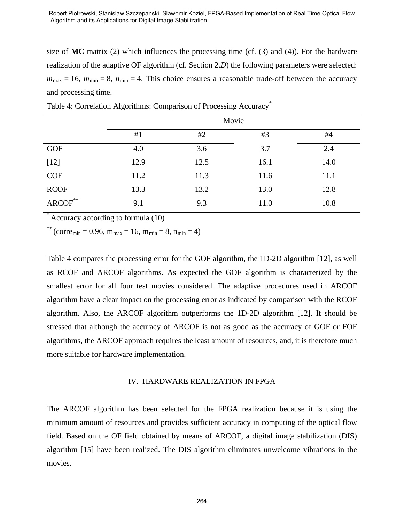## Algorithm and its Applications for Digital Image Stabilization

size of **MC** matrix (2) which influences the processing time (cf.  $(3)$  and  $(4)$ ). For the hardware realization of the adaptive OF algorithm (cf. Section 2.*D*) the following parameters were selected:  $m_{\text{max}} = 16$ ,  $m_{\text{min}} = 8$ ,  $n_{\text{min}} = 4$ . This choice ensures a reasonable trade-off between the accuracy and processing time.

|                     | Movie |      |      |      |
|---------------------|-------|------|------|------|
|                     | #1    | #2   | #3   | #4   |
| <b>GOF</b>          | 4.0   | 3.6  | 3.7  | 2.4  |
| $[12]$              | 12.9  | 12.5 | 16.1 | 14.0 |
| COF                 | 11.2  | 11.3 | 11.6 | 11.1 |
| <b>RCOF</b>         | 13.3  | 13.2 | 13.0 | 12.8 |
| $\text{ARCOF}^{**}$ | 9.1   | 9.3  | 11.0 | 10.8 |

Table 4: Correlation Algorithms: Comparison of Processing Accuracy\*

Accuracy according to formula  $(10)$ 

\*\* (corre<sub>min</sub> = 0.96, m<sub>max</sub> = 16, m<sub>min</sub> = 8, n<sub>min</sub> = 4)

Table 4 compares the processing error for the GOF algorithm, the 1D-2D algorithm [12], as well as RCOF and ARCOF algorithms. As expected the GOF algorithm is characterized by the smallest error for all four test movies considered. The adaptive procedures used in ARCOF algorithm have a clear impact on the processing error as indicated by comparison with the RCOF algorithm. Also, the ARCOF algorithm outperforms the 1D-2D algorithm [12]. It should be stressed that although the accuracy of ARCOF is not as good as the accuracy of GOF or FOF algorithms, the ARCOF approach requires the least amount of resources, and, it is therefore much more suitable for hardware implementation. Experimentation of Robert Piotromski, Subsect (Scale) and May the Robert Piotromski (Stanislav Sacred May Algorithms and Applementation of the adaptive O1 adgretition of Execution and the processing time (cf. (3) and (4))

#### IV. HARDWARE REALIZATION IN FPGA

The ARCOF algorithm has been selected for the FPGA realization because it is using the minimum amount of resources and provides sufficient accuracy in computing of the optical flow field. Based on the OF field obtained by means of ARCOF, a digital image stabilization (DIS) algorithm [15] have been realized. The DIS algorithm eliminates unwelcome vibrations in the movies.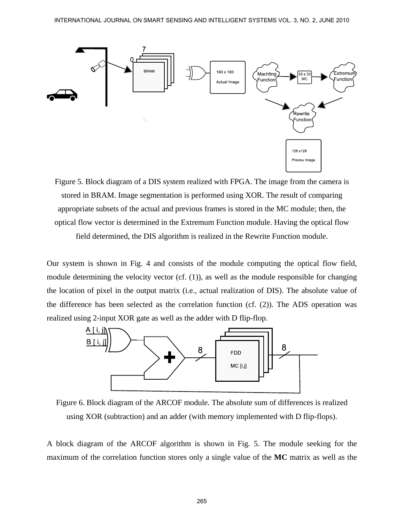

Figure 5. Block diagram of a DIS system realized with FPGA. The image from the camera is stored in BRAM. Image segmentation is performed using XOR. The result of comparing appropriate subsets of the actual and previous frames is stored in the MC module; then, the optical flow vector is determined in the Extremum Function module. Having the optical flow field determined, the DIS algorithm is realized in the Rewrite Function module.

Our system is shown in Fig. 4 and consists of the module computing the optical flow field, module determining the velocity vector (cf. (1)), as well as the module responsible for changing the location of pixel in the output matrix (i.e., actual realization of DIS). The absolute value of the difference has been selected as the correlation function (cf. (2)). The ADS operation was realized using 2-input XOR gate as well as the adder with D flip-flop.



Figure 6. Block diagram of the ARCOF module. The absolute sum of differences is realized using XOR (subtraction) and an adder (with memory implemented with D flip-flops).

A block diagram of the ARCOF algorithm is shown in Fig. 5. The module seeking for the maximum of the correlation function stores only a single value of the **MC** matrix as well as the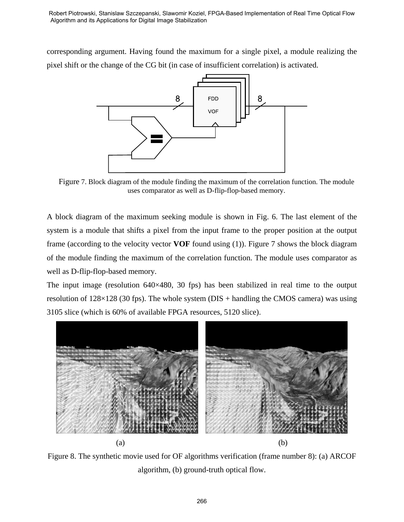corresponding argument. Having found the maximum for a single pixel, a module realizing the pixel shift or the change of the CG bit (in case of insufficient correlation) is activated.



Figure 7. Block diagram of the module finding the maximum of the correlation function. The module uses comparator as well as D-flip-flop-based memory.

A block diagram of the maximum seeking module is shown in Fig. 6. The last element of the system is a module that shifts a pixel from the input frame to the proper position at the output frame (according to the velocity vector **VOF** found using (1)). Figure 7 shows the block diagram of the module finding the maximum of the correlation function. The module uses comparator as well as D-flip-flop-based memory.

The input image (resolution 640×480, 30 fps) has been stabilized in real time to the output resolution of  $128\times128$  (30 fps). The whole system (DIS + handling the CMOS camera) was using 3105 slice (which is 60% of available FPGA resources, 5120 slice).



Figure 8. The synthetic movie used for OF algorithms verification (frame number 8): (a) ARCOF algorithm, (b) ground-truth optical flow.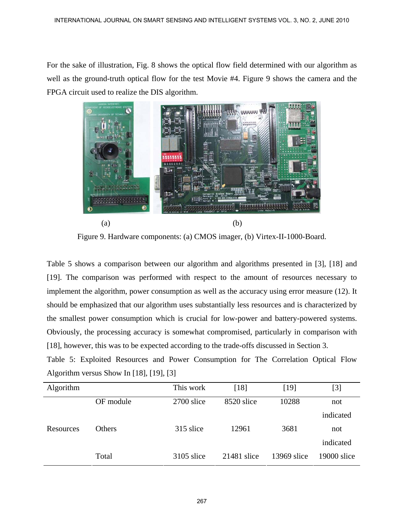For the sake of illustration, Fig. 8 shows the optical flow field determined with our algorithm as well as the ground-truth optical flow for the test Movie #4. Figure 9 shows the camera and the FPGA circuit used to realize the DIS algorithm.



Figure 9. Hardware components: (a) CMOS imager, (b) Virtex-II-1000-Board.

Table 5 shows a comparison between our algorithm and algorithms presented in [3], [18] and [19]. The comparison was performed with respect to the amount of resources necessary to implement the algorithm, power consumption as well as the accuracy using error measure (12). It should be emphasized that our algorithm uses substantially less resources and is characterized by the smallest power consumption which is crucial for low-power and battery-powered systems. Obviously, the processing accuracy is somewhat compromised, particularly in comparison with [18], however, this was to be expected according to the trade-offs discussed in Section 3.

Table 5: Exploited Resources and Power Consumption for The Correlation Optical Flow Algorithm versus Show In [18], [19], [3]

| Algorithm |               | This work  | [18]          | [19]        | [3]         |
|-----------|---------------|------------|---------------|-------------|-------------|
|           | OF module     | 2700 slice | 8520 slice    | 10288       | not         |
|           |               |            |               |             | indicated   |
| Resources | <b>Others</b> | 315 slice  | 12961         | 3681        | not         |
|           |               |            |               |             | indicated   |
|           | Total         | 3105 slice | $21481$ slice | 13969 slice | 19000 slice |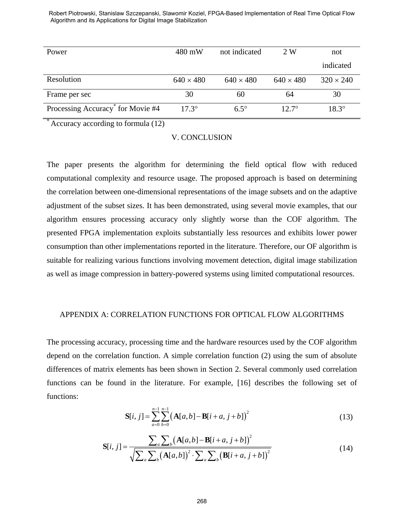| Power                                         | 480 mW           | not indicated    | 2 W              | not              |
|-----------------------------------------------|------------------|------------------|------------------|------------------|
|                                               |                  |                  |                  | indicated        |
| Resolution                                    | $640 \times 480$ | $640 \times 480$ | $640 \times 480$ | $320 \times 240$ |
| Frame per sec                                 | 30               | 60               | 64               | 30               |
| Processing Accuracy <sup>*</sup> for Movie #4 | $17.3^{\circ}$   | $6.5^\circ$      | $12.7^{\circ}$   | $18.3^\circ$     |

Algorithm and its Applications for Digital Image Stabilization

Accuracy according to formula (12)

#### V. CONCLUSION

The paper presents the algorithm for determining the field optical flow with reduced computational complexity and resource usage. The proposed approach is based on determining the correlation between one-dimensional representations of the image subsets and on the adaptive adjustment of the subset sizes. It has been demonstrated, using several movie examples, that our algorithm ensures processing accuracy only slightly worse than the COF algorithm. The presented FPGA implementation exploits substantially less resources and exhibits lower power consumption than other implementations reported in the literature. Therefore, our OF algorithm is suitable for realizing various functions involving movement detection, digital image stabilization as well as image compression in battery-powered systems using limited computational resources. Experience on the control of the piotropic subsection of College and Herbert Piotropic Sacred Implementation of Real Time Optical Flow<br>Agreementation of Applementation of Hipsel Image Shamonston<br>
Yower<br>
Yower<br>
Yower Secre

#### APPENDIX A: CORRELATION FUNCTIONS FOR OPTICAL FLOW ALGORITHMS

The processing accuracy, processing time and the hardware resources used by the COF algorithm depend on the correlation function. A simple correlation function (2) using the sum of absolute differences of matrix elements has been shown in Section 2. Several commonly used correlation functions can be found in the literature. For example, [16] describes the following set of functions:

$$
\mathbf{S}[i, j] = \sum_{a=0}^{n-1} \sum_{b=0}^{n-1} (\mathbf{A}[a, b] - \mathbf{B}[i + a, j + b])^{2}
$$
(13)

$$
\mathbf{S}[i, j] = \frac{\sum_{a} \sum_{b} (\mathbf{A}[a, b] - \mathbf{B}[i + a, j + b])^{2}}{\sqrt{\sum_{a} \sum_{b} (\mathbf{A}[a, b])^{2} \cdot \sum_{a} \sum_{b} (\mathbf{B}[i + a, j + b])^{2}}}
$$
(14)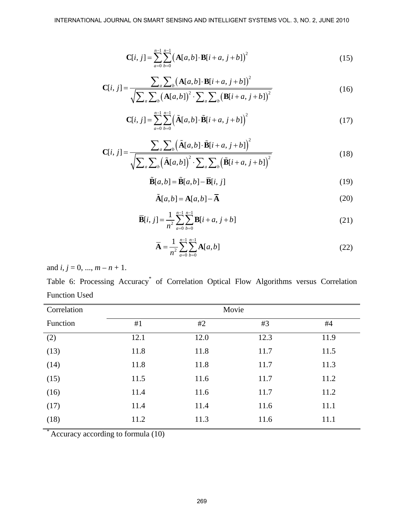$$
\mathbf{C}[i, j] = \sum_{a=0}^{n-1} \sum_{b=0}^{n-1} (\mathbf{A}[a, b] \cdot \mathbf{B}[i + a, j + b])^{2}
$$
(15)

$$
\mathbf{C}[i, j] = \frac{\sum_{a} \sum_{b} (\mathbf{A}[a, b] \cdot \mathbf{B}[i + a, j + b])^{2}}{\sqrt{\sum_{a} \sum_{b} (\mathbf{A}[a, b])^{2} \cdot \sum_{a} \sum_{b} (\mathbf{B}[i + a, j + b])^{2}}}
$$
(16)

$$
\mathbf{C}[i,j] = \sum_{a=0}^{n-1} \sum_{b=0}^{n-1} \left( \tilde{\mathbf{A}}[a,b] \cdot \tilde{\mathbf{B}}[i+a,j+b] \right)^2 \tag{17}
$$

$$
\mathbf{C}[i, j] = \frac{\sum_{a} \sum_{b} (\tilde{\mathbf{A}}[a, b] \cdot \tilde{\mathbf{B}}[i + a, j + b])^{2}}{\sqrt{\sum_{a} \sum_{b} (\tilde{\mathbf{A}}[a, b])^{2} \cdot \sum_{a} \sum_{b} (\tilde{\mathbf{B}}[i + a, j + b])^{2}}}
$$
(18)

$$
\tilde{\mathbf{B}}[a,b] = \tilde{\mathbf{B}}[a,b] - \overline{\mathbf{B}}[i,j] \tag{19}
$$

$$
\tilde{\mathbf{A}}[a,b] = \mathbf{A}[a,b] - \overline{\mathbf{A}} \tag{20}
$$

$$
\overline{\mathbf{B}}[i, j] = \frac{1}{n^2} \sum_{a=0}^{n-1} \sum_{b=0}^{n-1} \mathbf{B}[i+a, j+b]
$$
(21)

$$
\overline{\mathbf{A}} = \frac{1}{n^2} \sum_{a=0}^{n-1} \sum_{b=0}^{n-1} \mathbf{A}[a, b] \tag{22}
$$

and  $i, j = 0, ..., m - n + 1$ .

Table 6: Processing Accuracy<sup>\*</sup> of Correlation Optical Flow Algorithms versus Correlation Function Used

| Correlation            | Movie |      |      |      |  |
|------------------------|-------|------|------|------|--|
| Function               | #1    | #2   | #3   | #4   |  |
| (2)                    | 12.1  | 12.0 | 12.3 | 11.9 |  |
| (13)                   | 11.8  | 11.8 | 11.7 | 11.5 |  |
| (14)                   | 11.8  | 11.8 | 11.7 | 11.3 |  |
| (15)                   | 11.5  | 11.6 | 11.7 | 11.2 |  |
| (16)                   | 11.4  | 11.6 | 11.7 | 11.2 |  |
| (17)                   | 11.4  | 11.4 | 11.6 | 11.1 |  |
| (18)<br>$\overline{a}$ | 11.2  | 11.3 | 11.6 | 11.1 |  |

\* Accuracy according to formula (10)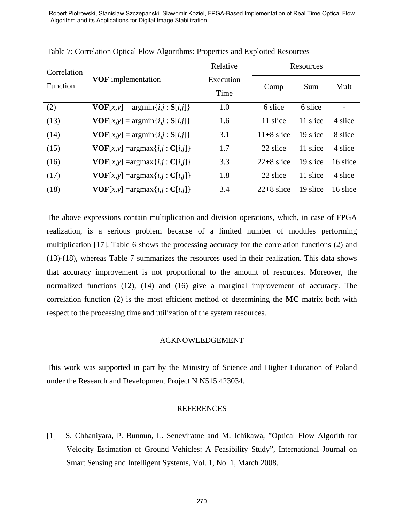|                                                                                                                                                                                                                                                                                                                                                                                                                                                                                              | Robert Piotrowski, Stanislaw Szczepanski, Slawomir Koziel, FPGA-Based Implementation of Real Time Optical Flow<br>Algorithm and its Applications for Digital Image Stabilization |                   |              |           |                          |
|----------------------------------------------------------------------------------------------------------------------------------------------------------------------------------------------------------------------------------------------------------------------------------------------------------------------------------------------------------------------------------------------------------------------------------------------------------------------------------------------|----------------------------------------------------------------------------------------------------------------------------------------------------------------------------------|-------------------|--------------|-----------|--------------------------|
|                                                                                                                                                                                                                                                                                                                                                                                                                                                                                              | Table 7: Correlation Optical Flow Algorithms: Properties and Exploited Resources                                                                                                 |                   |              |           |                          |
| Correlation                                                                                                                                                                                                                                                                                                                                                                                                                                                                                  |                                                                                                                                                                                  | Relative          |              | Resources |                          |
| Function                                                                                                                                                                                                                                                                                                                                                                                                                                                                                     | <b>VOF</b> implementation                                                                                                                                                        | Execution<br>Time | Comp         | Sum       | Mult                     |
| (2)                                                                                                                                                                                                                                                                                                                                                                                                                                                                                          | $VOF[x,y] = argmin\{i,j : S[i,j]\}$                                                                                                                                              | 1.0               | 6 slice      | 6 slice   | $\overline{\phantom{0}}$ |
| (13)                                                                                                                                                                                                                                                                                                                                                                                                                                                                                         | $\mathbf{VOF}[x,y] = \arg\min\{i,j : \mathbf{S}[i,j]\}$                                                                                                                          | 1.6               | 11 slice     | 11 slice  | 4 slice                  |
| (14)                                                                                                                                                                                                                                                                                                                                                                                                                                                                                         | $\mathbf{VOF}[x,y] = \arg\min\{i,j : \mathbf{S}[i,j]\}$                                                                                                                          | 3.1               | $11+8$ slice | 19 slice  | 8 slice                  |
| (15)                                                                                                                                                                                                                                                                                                                                                                                                                                                                                         | $VOF[x,y] = argmax\{i,j : C[i,j]\}$                                                                                                                                              | 1.7               | 22 slice     | 11 slice  | 4 slice                  |
| (16)                                                                                                                                                                                                                                                                                                                                                                                                                                                                                         | $\mathbf{VOF}[x,y] = \arg\max\{i,j : \mathbf{C}[i,j]\}$                                                                                                                          | 3.3               | $22+8$ slice | 19 slice  | 16 slice                 |
| (17)                                                                                                                                                                                                                                                                                                                                                                                                                                                                                         | $\mathbf{VOF}[x,y] = \arg\max\{i,j : \mathbf{C}[i,j]\}$                                                                                                                          | 1.8               | 22 slice     | 11 slice  | 4 slice                  |
| (18)                                                                                                                                                                                                                                                                                                                                                                                                                                                                                         | $\mathbf{VOF}[x,y] = \arg\max\{i,j : \mathbf{C}[i,j]\}$                                                                                                                          | 3.4               | $22+8$ slice | 19 slice  | 16 slice                 |
| $(13)-(18)$ , whereas Table 7 summarizes the resources used in their realization. This data shows<br>that accuracy improvement is not proportional to the amount of resources. Moreover, the<br>normalized functions (12), (14) and (16) give a marginal improvement of accuracy. The<br>correlation function $(2)$ is the most efficient method of determining the MC matrix both with<br>respect to the processing time and utilization of the system resources.<br><b>ACKNOWLEDGEMENT</b> |                                                                                                                                                                                  |                   |              |           |                          |
| This work was supported in part by the Ministry of Science and Higher Education of Poland<br>under the Research and Development Project N N515 423034.<br><b>REFERENCES</b>                                                                                                                                                                                                                                                                                                                  |                                                                                                                                                                                  |                   |              |           |                          |
| $[1]$<br>S. Chhaniyara, P. Bunnun, L. Seneviratne and M. Ichikawa, "Optical Flow Algorith for<br>Velocity Estimation of Ground Vehicles: A Feasibility Study", International Journal on<br>Smart Sensing and Intelligent Systems, Vol. 1, No. 1, March 2008.                                                                                                                                                                                                                                 |                                                                                                                                                                                  |                   |              |           |                          |
|                                                                                                                                                                                                                                                                                                                                                                                                                                                                                              |                                                                                                                                                                                  | 270               |              |           |                          |

Table 7: Correlation Optical Flow Algorithms: Properties and Exploited Resources

#### ACKNOWLEDGEMENT

#### **REFERENCES**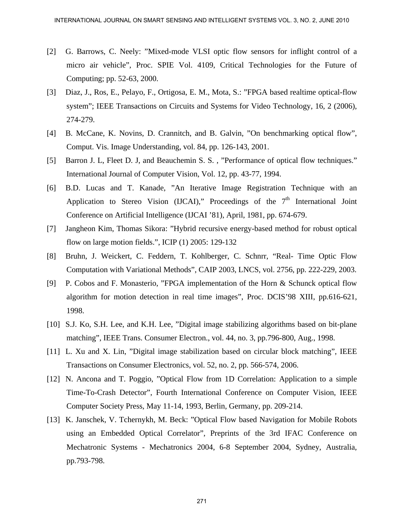- [2] G. Barrows, C. Neely: "Mixed-mode VLSI optic flow sensors for inflight control of a micro air vehicle", Proc. SPIE Vol. 4109, Critical Technologies for the Future of Computing; pp. 52-63, 2000.
- [3] Diaz, J., Ros, E., Pelayo, F., Ortigosa, E. M., Mota, S.: "FPGA based realtime optical-flow system"; IEEE Transactions on Circuits and Systems for Video Technology, 16, 2 (2006), 274-279.
- [4] B. McCane, K. Novins, D. Crannitch, and B. Galvin, "On benchmarking optical flow", Comput. Vis. Image Understanding, vol. 84, pp. 126-143, 2001.
- [5] Barron J. L, Fleet D. J, and Beauchemin S. S. , "Performance of optical flow techniques." International Journal of Computer Vision, Vol. 12, pp. 43-77, 1994.
- [6] B.D. Lucas and T. Kanade, "An Iterative Image Registration Technique with an Application to Stereo Vision (IJCAI)," Proceedings of the  $7<sup>th</sup>$  International Joint Conference on Artificial Intelligence (IJCAI '81), April, 1981, pp. 674-679.
- [7] Jangheon Kim, Thomas Sikora: "Hybrid recursive energy-based method for robust optical flow on large motion fields.", ICIP (1) 2005: 129-132
- [8] Bruhn, J. Weickert, C. Feddern, T. Kohlberger, C. Schnrr, "Real- Time Optic Flow Computation with Variational Methods", CAIP 2003, LNCS, vol. 2756, pp. 222-229, 2003.
- [9] P. Cobos and F. Monasterio, "FPGA implementation of the Horn & Schunck optical flow algorithm for motion detection in real time images", Proc. DCIS'98 XIII, pp.616-621, 1998.
- [10] S.J. Ko, S.H. Lee, and K.H. Lee, "Digital image stabilizing algorithms based on bit-plane matching", IEEE Trans. Consumer Electron., vol. 44, no. 3, pp.796-800, Aug., 1998.
- [11] L. Xu and X. Lin, "Digital image stabilization based on circular block matching", IEEE Transactions on Consumer Electronics, vol. 52, no. 2, pp. 566-574, 2006.
- [12] N. Ancona and T. Poggio, "Optical Flow from 1D Correlation: Application to a simple Time-To-Crash Detector", Fourth International Conference on Computer Vision, IEEE Computer Society Press, May 11-14, 1993, Berlin, Germany, pp. 209-214.
- [13] K. Janschek, V. Tchernykh, M. Beck: "Optical Flow based Navigation for Mobile Robots using an Embedded Optical Correlator", Preprints of the 3rd IFAC Conference on Mechatronic Systems - Mechatronics 2004, 6-8 September 2004, Sydney, Australia, pp.793-798.